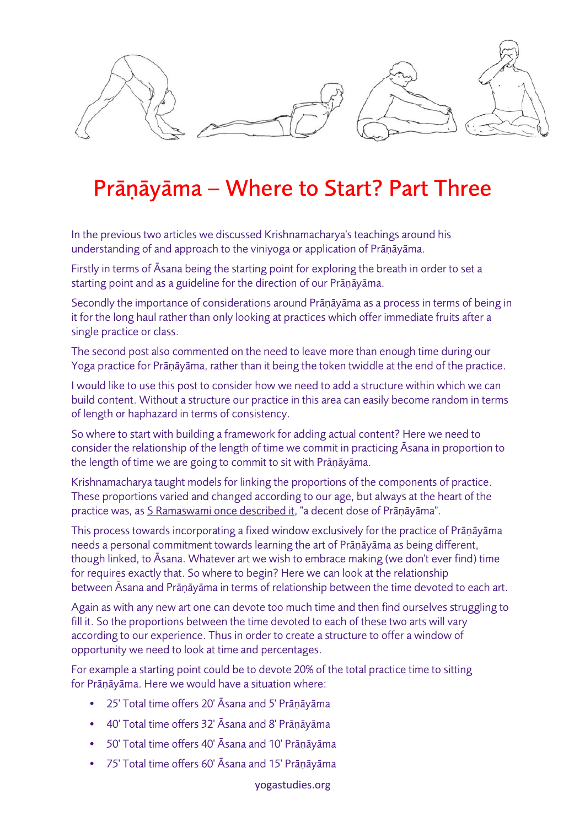

## Prāṇāyāma – Where to Start? Part Three

In the previous two articles we discussed Krishnamacharya's teachings around his understanding of and approach to the viniyoga or application of Prāṇāyāma.

Firstly in terms of Āsana being the starting point for exploring the breath in order to set a starting point and as a guideline for the direction of our Prāṇāyāma.

Secondly the importance of considerations around Prāṇāyāma as a process in terms of being in it for the long haul rather than only looking at practices which offer immediate fruits after a single practice or class.

The second post also commented on the need to leave more than enough time during our Yoga practice for Prāṇāyāma, rather than it being the token twiddle at the end of the practice.

I would like to use this post to consider how we need to add a structure within which we can build content. Without a structure our practice in this area can easily become random in terms of length or haphazard in terms of consistency.

So where to start with building a framework for adding actual content? Here we need to consider the relationship of the length of time we commit in practicing Āsana in proportion to the length of time we are going to commit to sit with Prāṇāyāma.

Krishnamacharya taught models for linking the proportions of the components of practice. These proportions varied and changed according to our age, but always at the heart of the practice was, as S Ramaswami once described it, "a decent dose of Prāṇāyāma".

This process towards incorporating a fixed window exclusively for the practice of Prāṇāyāma needs a personal commitment towards learning the art of Prāṇāyāma as being different, though linked, to Āsana. Whatever art we wish to embrace making (we don't ever find) time for requires exactly that. So where to begin? Here we can look at the relationship between Āsana and Prāṇāyāma in terms of relationship between the time devoted to each art.

Again as with any new art one can devote too much time and then find ourselves struggling to fill it. So the proportions between the time devoted to each of these two arts will vary according to our experience. Thus in order to create a structure to offer a window of opportunity we need to look at time and percentages.

For example a starting point could be to devote 20% of the total practice time to sitting for Prāṇāyāma. Here we would have a situation where:

- 25' Total time offers 20' Āsana and 5' Prāṇāyāma
- 40' Total time offers 32' Āsana and 8' Prāṇāyāma
- 50' Total time offers 40' Āsana and 10' Prāṇāyāma
- 75' Total time offers 60' Āsana and 15' Prāṇāyāma

yogastudies.org